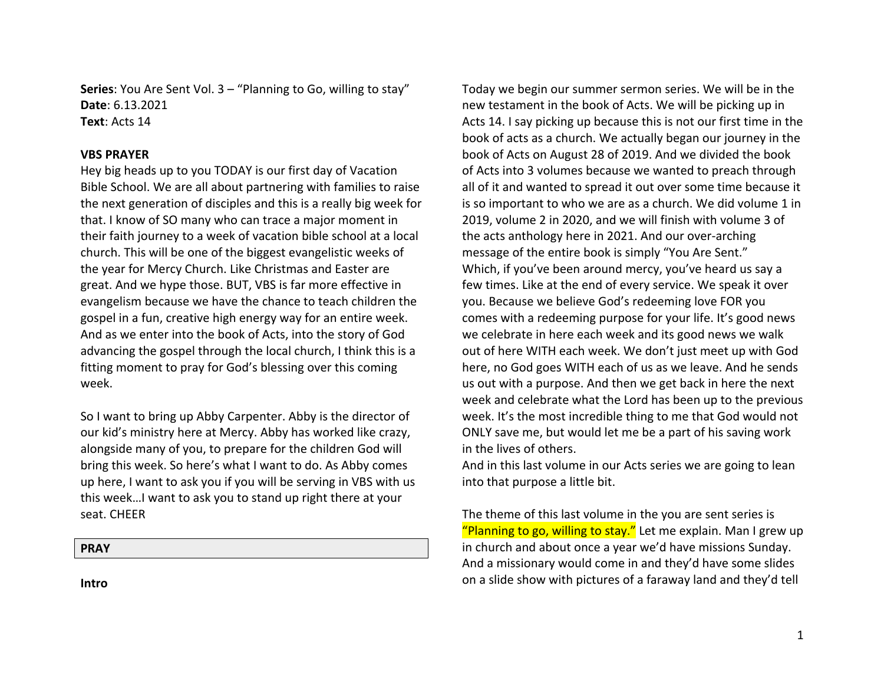**Series:** You Are Sent Vol. 3 – "Planning to Go, willing to stay" **Date**: 6.13.2021 **Text**: Acts 14

### **VBS PRAYER**

Hey big heads up to you TODAY is our first day of Vacation Bible School. We are all about partnering with families to raise the next generation of disciples and this is a really big week for that. I know of SO many who can trace a major moment in their faith journey to a week of vacation bible school at a local church. This will be one of the biggest evangelistic weeks of the year for Mercy Church. Like Christmas and Easter are great. And we hype those. BUT, VBS is far more effective in evangelism because we have the chance to teach children the gospel in a fun, creative high energy way for an entire week. And as we enter into the book of Acts, into the story of God advancing the gospel through the local church, I think this is a fitting moment to pray for God's blessing over this coming week. 

So I want to bring up Abby Carpenter. Abby is the director of our kid's ministry here at Mercy. Abby has worked like crazy, alongside many of you, to prepare for the children God will bring this week. So here's what I want to do. As Abby comes up here, I want to ask you if you will be serving in VBS with us this week...I want to ask you to stand up right there at your seat. CHEER

### **PRAY**

**Intro**

Today we begin our summer sermon series. We will be in the new testament in the book of Acts. We will be picking up in Acts 14. I say picking up because this is not our first time in the book of acts as a church. We actually began our journey in the book of Acts on August 28 of 2019. And we divided the book of Acts into 3 volumes because we wanted to preach through all of it and wanted to spread it out over some time because it is so important to who we are as a church. We did volume 1 in 2019, volume 2 in 2020, and we will finish with volume 3 of the acts anthology here in 2021. And our over-arching message of the entire book is simply "You Are Sent." Which, if you've been around mercy, you've heard us say a few times. Like at the end of every service. We speak it over you. Because we believe God's redeeming love FOR you comes with a redeeming purpose for your life. It's good news we celebrate in here each week and its good news we walk out of here WITH each week. We don't just meet up with God here, no God goes WITH each of us as we leave. And he sends us out with a purpose. And then we get back in here the next week and celebrate what the Lord has been up to the previous week. It's the most incredible thing to me that God would not ONLY save me, but would let me be a part of his saving work in the lives of others.

And in this last volume in our Acts series we are going to lean into that purpose a little bit.

The theme of this last volume in the you are sent series is "Planning to go, willing to stay." Let me explain. Man I grew up in church and about once a year we'd have missions Sunday. And a missionary would come in and they'd have some slides on a slide show with pictures of a faraway land and they'd tell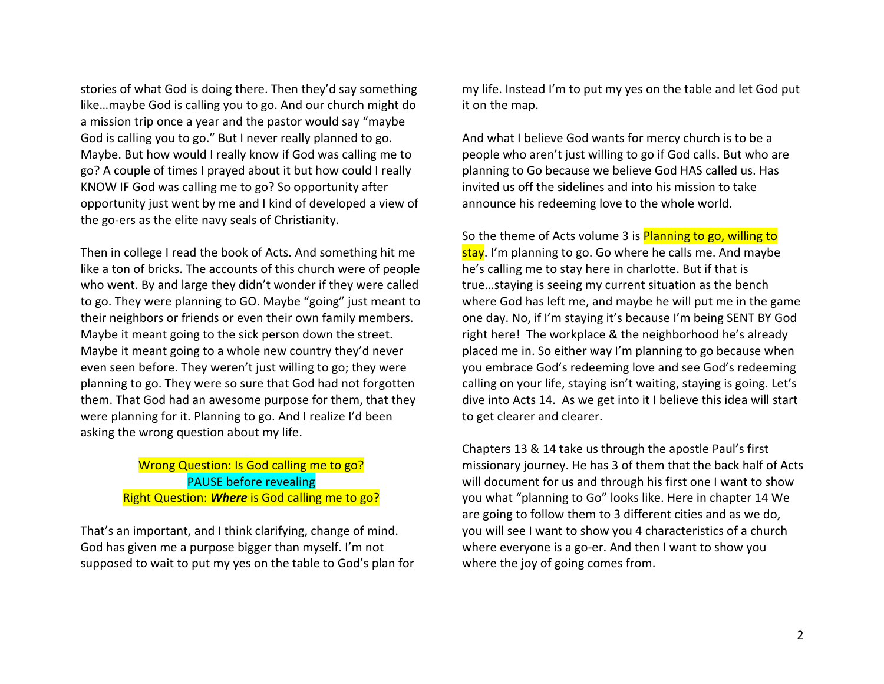stories of what God is doing there. Then they'd say something like...maybe God is calling you to go. And our church might do a mission trip once a year and the pastor would say "maybe God is calling you to go." But I never really planned to go. Maybe. But how would I really know if God was calling me to go? A couple of times I prayed about it but how could I really KNOW IF God was calling me to go? So opportunity after opportunity just went by me and I kind of developed a view of the go-ers as the elite navy seals of Christianity.

Then in college I read the book of Acts. And something hit me like a ton of bricks. The accounts of this church were of people who went. By and large they didn't wonder if they were called to go. They were planning to GO. Maybe "going" just meant to their neighbors or friends or even their own family members. Maybe it meant going to the sick person down the street. Maybe it meant going to a whole new country they'd never even seen before. They weren't just willing to go; they were planning to go. They were so sure that God had not forgotten them. That God had an awesome purpose for them, that they were planning for it. Planning to go. And I realize I'd been asking the wrong question about my life.

# Wrong Question: Is God calling me to go? **PAUSE** before revealing Right Question: **Where** is God calling me to go?

That's an important, and I think clarifying, change of mind. God has given me a purpose bigger than myself. I'm not supposed to wait to put my yes on the table to God's plan for my life. Instead I'm to put my yes on the table and let God put it on the map.

And what I believe God wants for mercy church is to be a people who aren't just willing to go if God calls. But who are planning to Go because we believe God HAS called us. Has invited us off the sidelines and into his mission to take announce his redeeming love to the whole world.

So the theme of Acts volume 3 is Planning to go, willing to stay. I'm planning to go. Go where he calls me. And maybe he's calling me to stay here in charlotte. But if that is true...staying is seeing my current situation as the bench where God has left me, and maybe he will put me in the game one day. No, if I'm staying it's because I'm being SENT BY God right here! The workplace & the neighborhood he's already placed me in. So either way I'm planning to go because when you embrace God's redeeming love and see God's redeeming calling on your life, staying isn't waiting, staying is going. Let's dive into Acts 14. As we get into it I believe this idea will start to get clearer and clearer.

Chapters 13 & 14 take us through the apostle Paul's first missionary journey. He has 3 of them that the back half of Acts will document for us and through his first one I want to show you what "planning to Go" looks like. Here in chapter 14 We are going to follow them to 3 different cities and as we do, you will see I want to show you 4 characteristics of a church where everyone is a go-er. And then I want to show you where the joy of going comes from.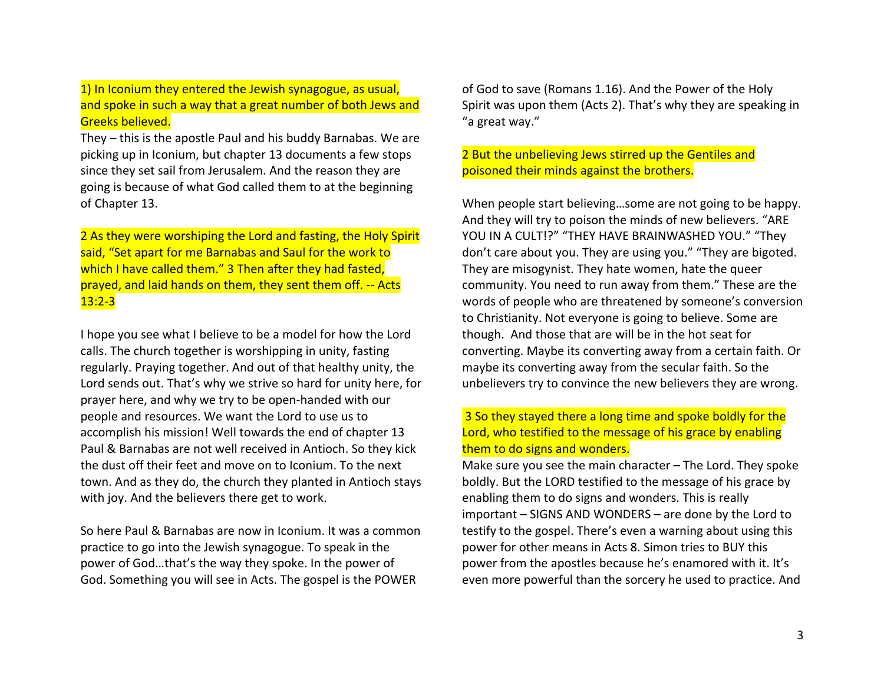1) In Iconium they entered the Jewish synagogue, as usual, and spoke in such a way that a great number of both Jews and Greeks believed.

They  $-$  this is the apostle Paul and his buddy Barnabas. We are picking up in Iconium, but chapter 13 documents a few stops since they set sail from Jerusalem. And the reason they are going is because of what God called them to at the beginning of Chapter 13.

2 As they were worshiping the Lord and fasting, the Holy Spirit said, "Set apart for me Barnabas and Saul for the work to which I have called them." 3 Then after they had fasted, prayed, and laid hands on them, they sent them off. -- Acts  $13:2 - 3$ 

I hope you see what I believe to be a model for how the Lord calls. The church together is worshipping in unity, fasting regularly. Praying together. And out of that healthy unity, the Lord sends out. That's why we strive so hard for unity here, for prayer here, and why we try to be open-handed with our people and resources. We want the Lord to use us to accomplish his mission! Well towards the end of chapter 13 Paul & Barnabas are not well received in Antioch. So they kick the dust off their feet and move on to Iconium. To the next town. And as they do, the church they planted in Antioch stays with joy. And the believers there get to work.

So here Paul & Barnabas are now in Iconium. It was a common practice to go into the Jewish synagogue. To speak in the power of God...that's the way they spoke. In the power of God. Something you will see in Acts. The gospel is the POWER

of God to save (Romans 1.16). And the Power of the Holy Spirit was upon them (Acts 2). That's why they are speaking in "a great way."

2 But the unbelieving Jews stirred up the Gentiles and poisoned their minds against the brothers.

When people start believing...some are not going to be happy. And they will try to poison the minds of new believers. "ARE YOU IN A CULT!?" "THEY HAVE BRAINWASHED YOU." "They don't care about you. They are using you." "They are bigoted. They are misogynist. They hate women, hate the queer community. You need to run away from them." These are the words of people who are threatened by someone's conversion to Christianity. Not everyone is going to believe. Some are though. And those that are will be in the hot seat for converting. Maybe its converting away from a certain faith. Or maybe its converting away from the secular faith. So the unbelievers try to convince the new believers they are wrong.

# 3 So they stayed there a long time and spoke boldly for the Lord, who testified to the message of his grace by enabling them to do signs and wonders.

Make sure you see the main character  $-$  The Lord. They spoke boldly. But the LORD testified to the message of his grace by enabling them to do signs and wonders. This is really  $important - SIGNS AND WONDERS - are done by the Lord to$ testify to the gospel. There's even a warning about using this power for other means in Acts 8. Simon tries to BUY this power from the apostles because he's enamored with it. It's even more powerful than the sorcery he used to practice. And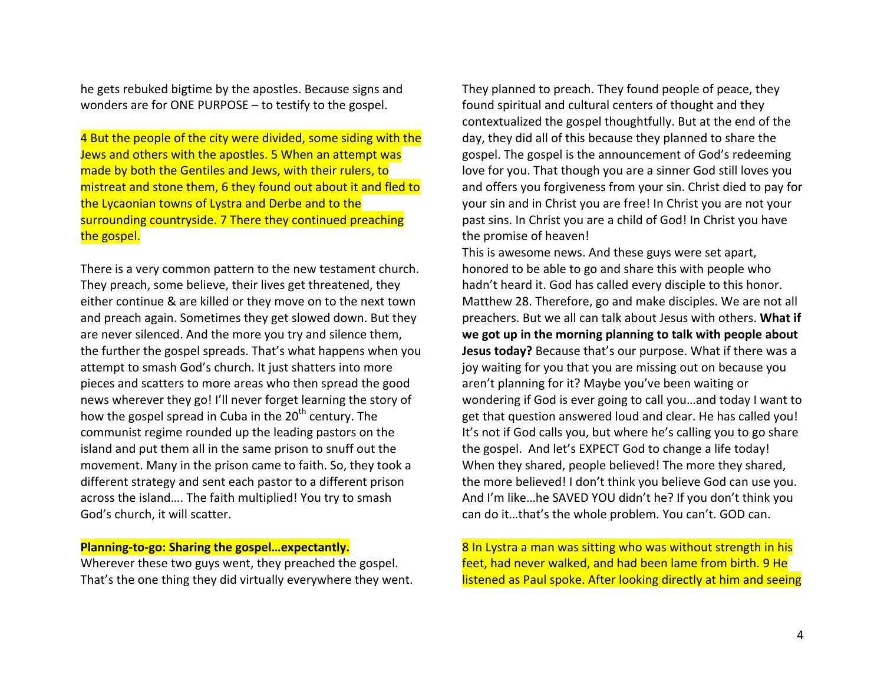he gets rebuked bigtime by the apostles. Because signs and wonders are for ONE PURPOSE  $-$  to testify to the gospel.

4 But the people of the city were divided, some siding with the Jews and others with the apostles. 5 When an attempt was made by both the Gentiles and Jews, with their rulers, to mistreat and stone them, 6 they found out about it and fled to the Lycaonian towns of Lystra and Derbe and to the surrounding countryside. 7 There they continued preaching the gospel.

There is a very common pattern to the new testament church. They preach, some believe, their lives get threatened, they either continue & are killed or they move on to the next town and preach again. Sometimes they get slowed down. But they are never silenced. And the more you try and silence them, the further the gospel spreads. That's what happens when you attempt to smash God's church. It just shatters into more pieces and scatters to more areas who then spread the good news wherever they go! I'll never forget learning the story of how the gospel spread in Cuba in the  $20<sup>th</sup>$  century. The communist regime rounded up the leading pastors on the island and put them all in the same prison to snuff out the movement. Many in the prison came to faith. So, they took a different strategy and sent each pastor to a different prison across the island.... The faith multiplied! You try to smash God's church, it will scatter.

### **Planning-to-go: Sharing the gospel...expectantly.**

Wherever these two guys went, they preached the gospel. That's the one thing they did virtually everywhere they went. They planned to preach. They found people of peace, they found spiritual and cultural centers of thought and they contextualized the gospel thoughtfully. But at the end of the day, they did all of this because they planned to share the gospel. The gospel is the announcement of God's redeeming love for you. That though you are a sinner God still loves you and offers you forgiveness from your sin. Christ died to pay for your sin and in Christ you are free! In Christ you are not your past sins. In Christ you are a child of God! In Christ you have the promise of heaven!

This is awesome news. And these guys were set apart, honored to be able to go and share this with people who hadn't heard it. God has called every disciple to this honor. Matthew 28. Therefore, go and make disciples. We are not all preachers. But we all can talk about Jesus with others. What if we got up in the morning planning to talk with people about **Jesus today?** Because that's our purpose. What if there was a joy waiting for you that you are missing out on because you aren't planning for it? Maybe you've been waiting or wondering if God is ever going to call you...and today I want to get that question answered loud and clear. He has called you! It's not if God calls you, but where he's calling you to go share the gospel. And let's EXPECT God to change a life today! When they shared, people believed! The more they shared, the more believed! I don't think you believe God can use you. And I'm like...he SAVED YOU didn't he? If you don't think you can do it...that's the whole problem. You can't. GOD can.

8 In Lystra a man was sitting who was without strength in his feet, had never walked, and had been lame from birth. 9 He listened as Paul spoke. After looking directly at him and seeing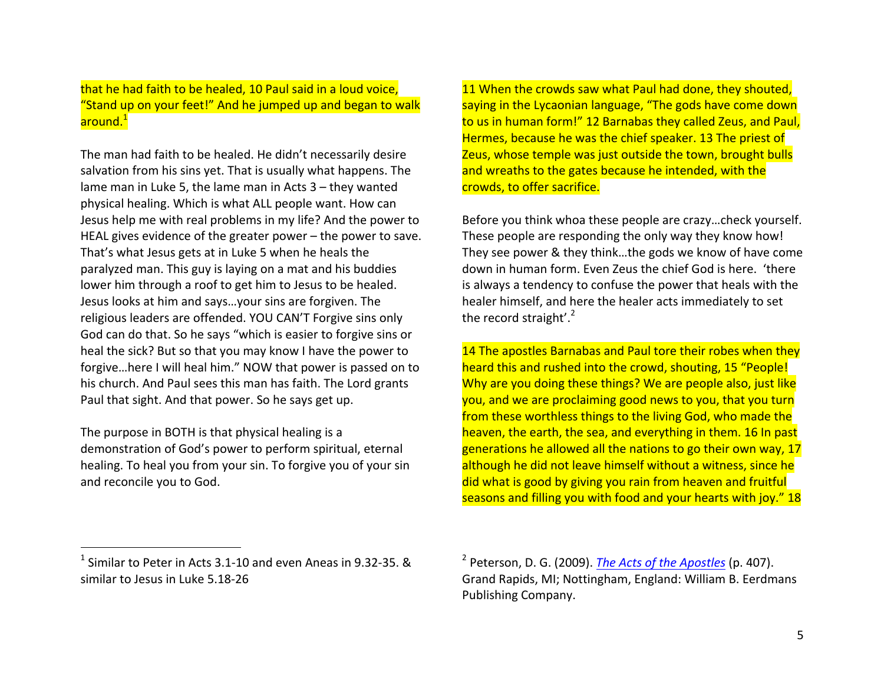that he had faith to be healed, 10 Paul said in a loud voice, "Stand up on your feet!" And he jumped up and began to walk around.<sup>1</sup>

The man had faith to be healed. He didn't necessarily desire salvation from his sins yet. That is usually what happens. The lame man in Luke 5, the lame man in Acts  $3$  – they wanted physical healing. Which is what ALL people want. How can Jesus help me with real problems in my life? And the power to HEAL gives evidence of the greater power  $-$  the power to save. That's what Jesus gets at in Luke 5 when he heals the paralyzed man. This guy is laying on a mat and his buddies lower him through a roof to get him to Jesus to be healed. Jesus looks at him and says...your sins are forgiven. The religious leaders are offended. YOU CAN'T Forgive sins only God can do that. So he says "which is easier to forgive sins or heal the sick? But so that you may know I have the power to forgive...here I will heal him." NOW that power is passed on to his church. And Paul sees this man has faith. The Lord grants Paul that sight. And that power. So he says get up.

The purpose in BOTH is that physical healing is a demonstration of God's power to perform spiritual, eternal healing. To heal you from your sin. To forgive you of your sin and reconcile you to God.

11 When the crowds saw what Paul had done, they shouted, saying in the Lycaonian language, "The gods have come down to us in human form!" 12 Barnabas they called Zeus, and Paul, Hermes, because he was the chief speaker. 13 The priest of Zeus, whose temple was just outside the town, brought bulls and wreaths to the gates because he intended, with the crowds, to offer sacrifice.

Before you think whoa these people are crazy...check yourself. These people are responding the only way they know how! They see power & they think...the gods we know of have come down in human form. Even Zeus the chief God is here. 'there is always a tendency to confuse the power that heals with the healer himself, and here the healer acts immediately to set the record straight'. $2$ 

14 The apostles Barnabas and Paul tore their robes when they heard this and rushed into the crowd, shouting, 15 "People! Why are you doing these things? We are people also, just like you, and we are proclaiming good news to you, that you turn from these worthless things to the living God, who made the heaven, the earth, the sea, and everything in them. 16 In past generations he allowed all the nations to go their own way, 17 although he did not leave himself without a witness, since he did what is good by giving you rain from heaven and fruitful seasons and filling you with food and your hearts with joy." 18

 

 $1$  Similar to Peter in Acts 3.1-10 and even Aneas in 9.32-35. & similar to Jesus in Luke 5.18-26

 $<sup>2</sup>$  Peterson, D. G. (2009). *The Acts of the Apostles* (p. 407).</sup> Grand Rapids, MI; Nottingham, England: William B. Eerdmans Publishing Company.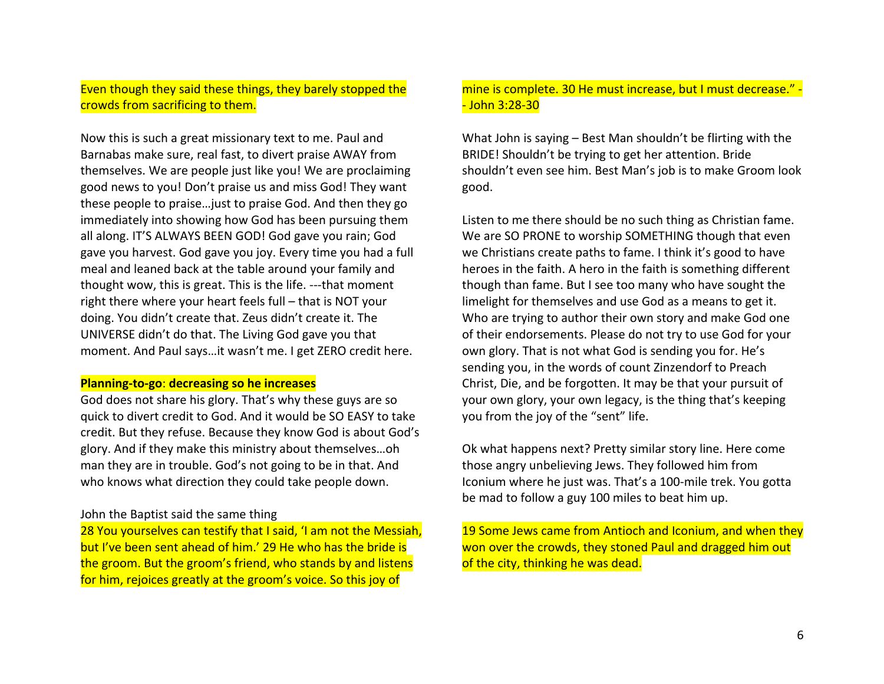## Even though they said these things, they barely stopped the crowds from sacrificing to them.

Now this is such a great missionary text to me. Paul and Barnabas make sure, real fast, to divert praise AWAY from themselves. We are people just like you! We are proclaiming good news to you! Don't praise us and miss God! They want these people to praise... just to praise God. And then they go immediately into showing how God has been pursuing them all along. IT'S ALWAYS BEEN GOD! God gave you rain; God gave you harvest. God gave you joy. Every time you had a full meal and leaned back at the table around your family and thought wow, this is great. This is the life. ---that moment right there where your heart feels full  $-$  that is NOT your doing. You didn't create that. Zeus didn't create it. The UNIVERSE didn't do that. The Living God gave you that moment. And Paul says...it wasn't me. I get ZERO credit here.

### **Planning-to-go: decreasing so he increases**

God does not share his glory. That's why these guys are so quick to divert credit to God. And it would be SO EASY to take credit. But they refuse. Because they know God is about God's glory. And if they make this ministry about themselves...oh man they are in trouble. God's not going to be in that. And who knows what direction they could take people down.

### John the Baptist said the same thing

28 You yourselves can testify that I said, 'I am not the Messiah, but I've been sent ahead of him.' 29 He who has the bride is the groom. But the groom's friend, who stands by and listens for him, rejoices greatly at the groom's voice. So this joy of

## mine is complete. 30 He must increase, but I must decrease."  $\cdot$ - John 3:28-30

What John is saying  $-$  Best Man shouldn't be flirting with the BRIDE! Shouldn't be trying to get her attention. Bride shouldn't even see him. Best Man's job is to make Groom look good.

Listen to me there should be no such thing as Christian fame. We are SO PRONE to worship SOMETHING though that even we Christians create paths to fame. I think it's good to have heroes in the faith. A hero in the faith is something different though than fame. But I see too many who have sought the limelight for themselves and use God as a means to get it. Who are trying to author their own story and make God one of their endorsements. Please do not try to use God for your own glory. That is not what God is sending you for. He's sending you, in the words of count Zinzendorf to Preach Christ, Die, and be forgotten. It may be that your pursuit of your own glory, your own legacy, is the thing that's keeping you from the joy of the "sent" life.

Ok what happens next? Pretty similar story line. Here come those angry unbelieving Jews. They followed him from Iconium where he just was. That's a 100-mile trek. You gotta be mad to follow a guy 100 miles to beat him up.

19 Some Jews came from Antioch and Iconium, and when they won over the crowds, they stoned Paul and dragged him out of the city, thinking he was dead.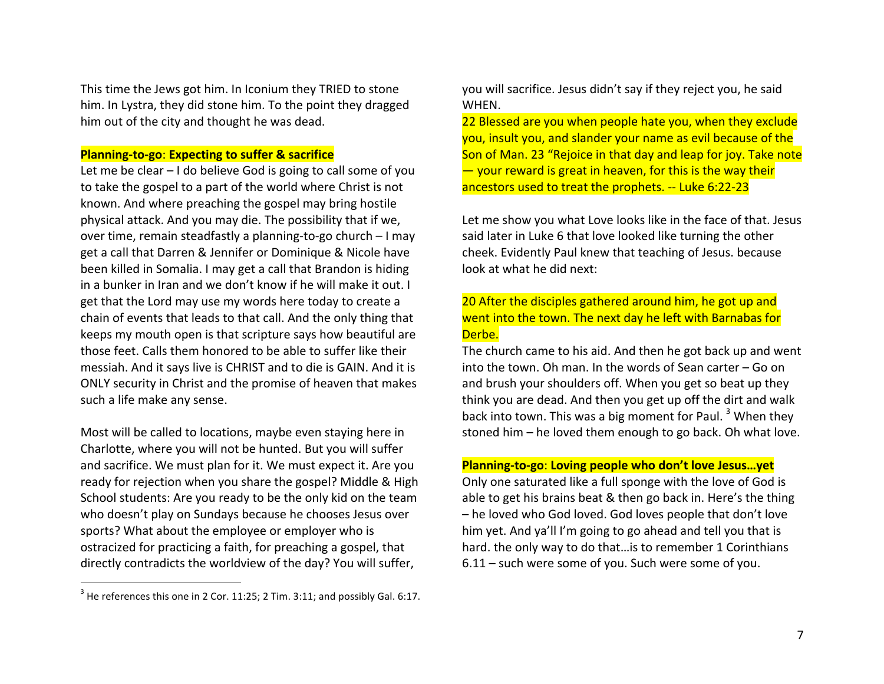This time the Jews got him. In Iconium they TRIED to stone him. In Lystra, they did stone him. To the point they dragged him out of the city and thought he was dead.

## **Planning-to-go: Expecting to suffer & sacrifice**

Let me be clear  $-1$  do believe God is going to call some of you to take the gospel to a part of the world where Christ is not known. And where preaching the gospel may bring hostile physical attack. And you may die. The possibility that if we, over time, remain steadfastly a planning-to-go church - I may get a call that Darren & Jennifer or Dominique & Nicole have been killed in Somalia. I may get a call that Brandon is hiding in a bunker in Iran and we don't know if he will make it out. I get that the Lord may use my words here today to create a chain of events that leads to that call. And the only thing that keeps my mouth open is that scripture says how beautiful are those feet. Calls them honored to be able to suffer like their messiah. And it says live is CHRIST and to die is GAIN. And it is ONLY security in Christ and the promise of heaven that makes such a life make any sense.

Most will be called to locations, maybe even staying here in Charlotte, where you will not be hunted. But you will suffer and sacrifice. We must plan for it. We must expect it. Are you ready for rejection when you share the gospel? Middle & High School students: Are you ready to be the only kid on the team who doesn't play on Sundays because he chooses Jesus over sports? What about the employee or employer who is ostracized for practicing a faith, for preaching a gospel, that directly contradicts the worldview of the day? You will suffer,

you will sacrifice. Jesus didn't say if they reject you, he said WHEN. 

22 Blessed are you when people hate you, when they exclude you, insult you, and slander your name as evil because of the Son of Man. 23 "Rejoice in that day and leap for joy. Take note  $-$  your reward is great in heaven, for this is the way their ancestors used to treat the prophets. -- Luke 6:22-23

Let me show you what Love looks like in the face of that. Jesus said later in Luke 6 that love looked like turning the other cheek. Evidently Paul knew that teaching of Jesus. because look at what he did next:

## 20 After the disciples gathered around him, he got up and went into the town. The next day he left with Barnabas for Derbe.

The church came to his aid. And then he got back up and went into the town. Oh man. In the words of Sean carter  $-$  Go on and brush your shoulders off. When you get so beat up they think you are dead. And then you get up off the dirt and walk back into town. This was a big moment for Paul.  $3$  When they stoned him  $-$  he loved them enough to go back. Oh what love.

**Planning-to-go: Loving people who don't love Jesus...yet** 

Only one saturated like a full sponge with the love of God is able to get his brains beat & then go back in. Here's the thing  $-$  he loved who God loved. God loves people that don't love him yet. And ya'll I'm going to go ahead and tell you that is hard. the only way to do that... is to remember 1 Corinthians  $6.11$  – such were some of you. Such were some of you.

 $3$  He references this one in 2 Cor. 11:25; 2 Tim. 3:11; and possibly Gal. 6:17.